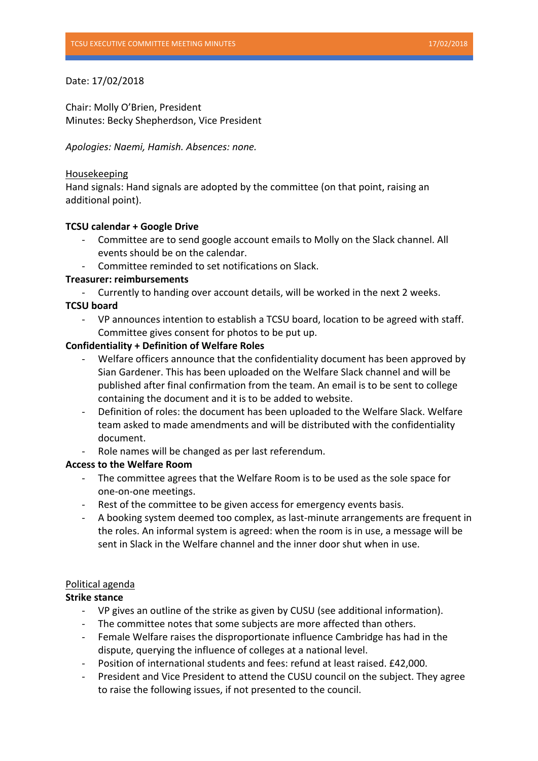# Date: 17/02/2018

Chair: Molly O'Brien, President Minutes: Becky Shepherdson, Vice President

*Apologies: Naemi, Hamish. Absences: none.*

## Housekeeping

Hand signals: Hand signals are adopted by the committee (on that point, raising an additional point).

## **TCSU** calendar + Google Drive

- Committee are to send google account emails to Molly on the Slack channel. All events should be on the calendar.
- Committee reminded to set notifications on Slack.

## **Treasurer: reimbursements**

Currently to handing over account details, will be worked in the next 2 weeks.

# **TCSU board**

VP announces intention to establish a TCSU board, location to be agreed with staff. Committee gives consent for photos to be put up.

## **Confidentiality + Definition of Welfare Roles**

- Welfare officers announce that the confidentiality document has been approved by Sian Gardener. This has been uploaded on the Welfare Slack channel and will be published after final confirmation from the team. An email is to be sent to college containing the document and it is to be added to website.
- Definition of roles: the document has been uploaded to the Welfare Slack. Welfare team asked to made amendments and will be distributed with the confidentiality document.
- Role names will be changed as per last referendum.

# **Access to the Welfare Room**

- The committee agrees that the Welfare Room is to be used as the sole space for one-on-one meetings.
- Rest of the committee to be given access for emergency events basis.
- A booking system deemed too complex, as last-minute arrangements are frequent in the roles. An informal system is agreed: when the room is in use, a message will be sent in Slack in the Welfare channel and the inner door shut when in use.

# Political agenda

# **Strike stance**

- VP gives an outline of the strike as given by CUSU (see additional information).
- The committee notes that some subjects are more affected than others.
- Female Welfare raises the disproportionate influence Cambridge has had in the dispute, querying the influence of colleges at a national level.
- Position of international students and fees: refund at least raised. £42,000.
- President and Vice President to attend the CUSU council on the subject. They agree to raise the following issues, if not presented to the council.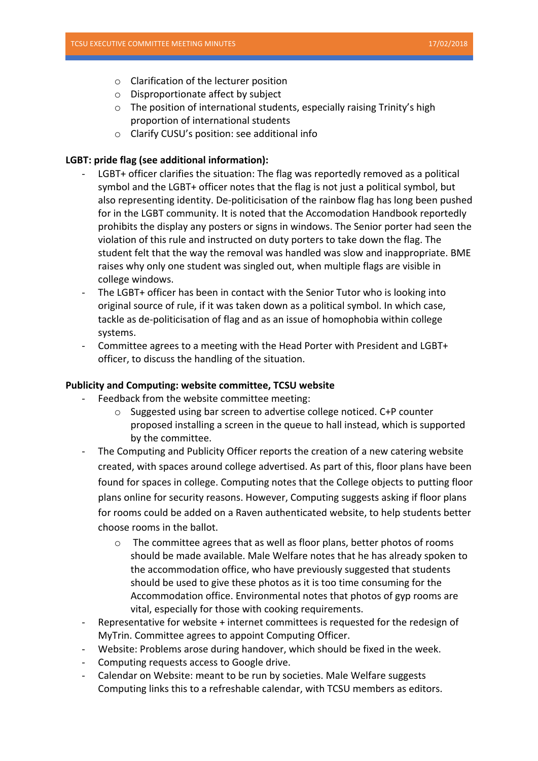- $\circ$  Clarification of the lecturer position
- $\circ$  Disproportionate affect by subject
- $\circ$  The position of international students, especially raising Trinity's high proportion of international students
- $\circ$  Clarify CUSU's position: see additional info

## LGBT: pride flag (see additional information):

- LGBT+ officer clarifies the situation: The flag was reportedly removed as a political symbol and the LGBT+ officer notes that the flag is not just a political symbol, but also representing identity. De-politicisation of the rainbow flag has long been pushed for in the LGBT community. It is noted that the Accomodation Handbook reportedly prohibits the display any posters or signs in windows. The Senior porter had seen the violation of this rule and instructed on duty porters to take down the flag. The student felt that the way the removal was handled was slow and inappropriate. BME raises why only one student was singled out, when multiple flags are visible in college windows.
- The LGBT+ officer has been in contact with the Senior Tutor who is looking into original source of rule, if it was taken down as a political symbol. In which case, tackle as de-politicisation of flag and as an issue of homophobia within college systems.
- Committee agrees to a meeting with the Head Porter with President and LGBT+ officer, to discuss the handling of the situation.

#### **Publicity and Computing: website committee, TCSU website**

- Feedback from the website committee meeting:
	- $\circ$  Suggested using bar screen to advertise college noticed. C+P counter proposed installing a screen in the queue to hall instead, which is supported by the committee.
- The Computing and Publicity Officer reports the creation of a new catering website created, with spaces around college advertised. As part of this, floor plans have been found for spaces in college. Computing notes that the College objects to putting floor plans online for security reasons. However, Computing suggests asking if floor plans for rooms could be added on a Raven authenticated website, to help students better choose rooms in the ballot.
	- $\circ$  The committee agrees that as well as floor plans, better photos of rooms should be made available. Male Welfare notes that he has already spoken to the accommodation office, who have previously suggested that students should be used to give these photos as it is too time consuming for the Accommodation office. Environmental notes that photos of gyp rooms are vital, especially for those with cooking requirements.
- Representative for website + internet committees is requested for the redesign of MyTrin. Committee agrees to appoint Computing Officer.
- Website: Problems arose during handover, which should be fixed in the week.
- Computing requests access to Google drive.
- Calendar on Website: meant to be run by societies. Male Welfare suggests Computing links this to a refreshable calendar, with TCSU members as editors.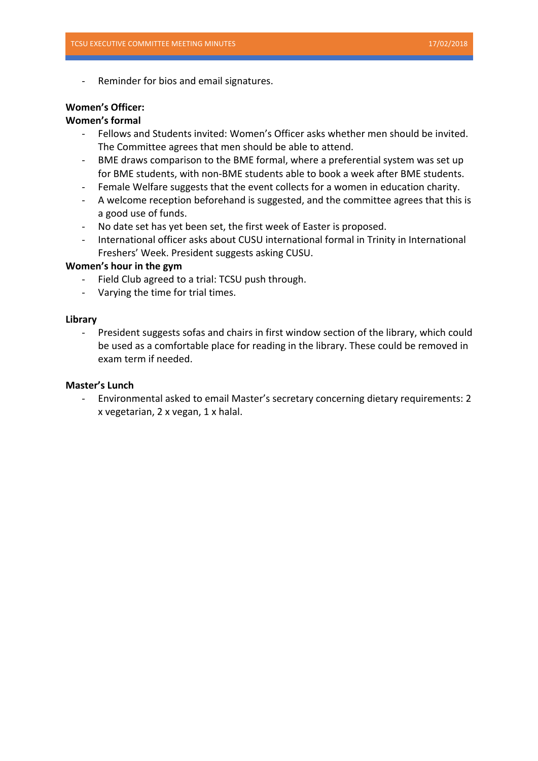Reminder for bios and email signatures.

#### **Women's Officer:**

#### **Women's formal**

- Fellows and Students invited: Women's Officer asks whether men should be invited. The Committee agrees that men should be able to attend.
- BME draws comparison to the BME formal, where a preferential system was set up for BME students, with non-BME students able to book a week after BME students.
- Female Welfare suggests that the event collects for a women in education charity.
- A welcome reception beforehand is suggested, and the committee agrees that this is a good use of funds.
- No date set has yet been set, the first week of Easter is proposed.
- International officer asks about CUSU international formal in Trinity in International Freshers' Week. President suggests asking CUSU.

#### **Women's hour in the gym**

- Field Club agreed to a trial: TCSU push through.
- Varying the time for trial times.

#### **Library**

- President suggests sofas and chairs in first window section of the library, which could be used as a comfortable place for reading in the library. These could be removed in exam term if needed.

#### **Master's Lunch**

- Environmental asked to email Master's secretary concerning dietary requirements: 2 x vegetarian, 2 x vegan, 1 x halal.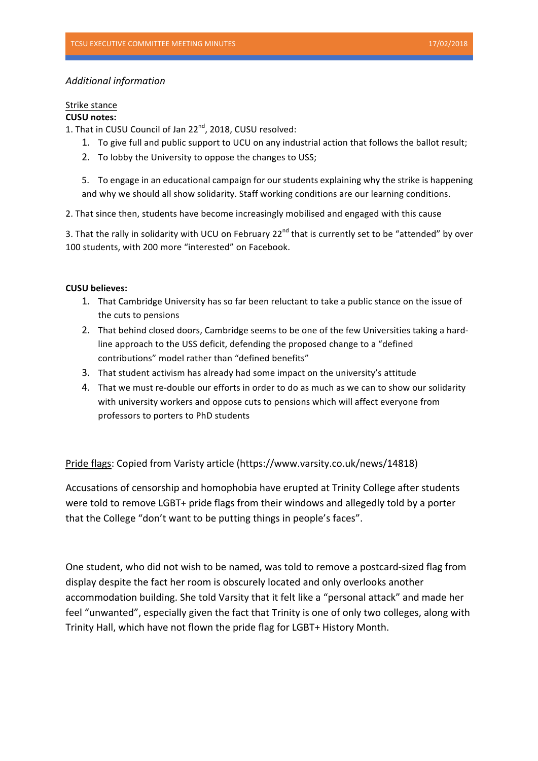## *Additional information*

# Strike stance

# **CUSU** notes:

1. That in CUSU Council of Jan 22<sup>nd</sup>, 2018, CUSU resolved:

- 1. To give full and public support to UCU on any industrial action that follows the ballot result;
- 2. To lobby the University to oppose the changes to USS;

5. To engage in an educational campaign for our students explaining why the strike is happening and why we should all show solidarity. Staff working conditions are our learning conditions.

2. That since then, students have become increasingly mobilised and engaged with this cause

3. That the rally in solidarity with UCU on February  $22^{nd}$  that is currently set to be "attended" by over 100 students, with 200 more "interested" on Facebook.

#### **CUSU** believes:

- 1. That Cambridge University has so far been reluctant to take a public stance on the issue of the cuts to pensions
- 2. That behind closed doors, Cambridge seems to be one of the few Universities taking a hardline approach to the USS deficit, defending the proposed change to a "defined contributions" model rather than "defined benefits"
- 3. That student activism has already had some impact on the university's attitude
- 4. That we must re-double our efforts in order to do as much as we can to show our solidarity with university workers and oppose cuts to pensions which will affect everyone from professors to porters to PhD students

Pride flags: Copied from Varisty article (https://www.varsity.co.uk/news/14818)

Accusations of censorship and homophobia have erupted at Trinity College after students were told to remove LGBT+ pride flags from their windows and allegedly told by a porter that the College "don't want to be putting things in people's faces".

One student, who did not wish to be named, was told to remove a postcard-sized flag from display despite the fact her room is obscurely located and only overlooks another accommodation building. She told Varsity that it felt like a "personal attack" and made her feel "unwanted", especially given the fact that Trinity is one of only two colleges, along with Trinity Hall, which have not flown the pride flag for LGBT+ History Month.